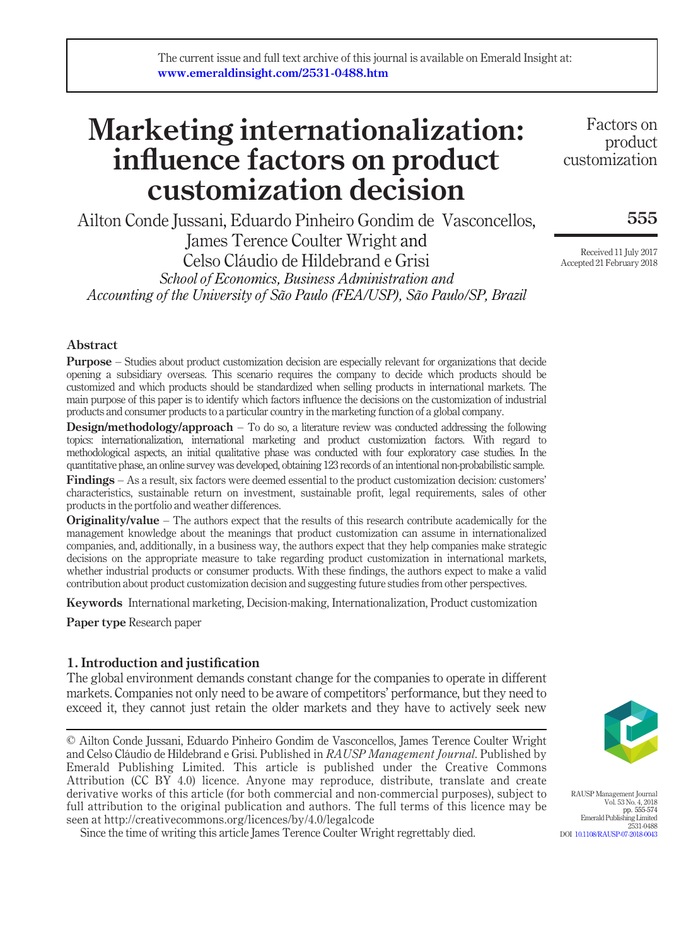# Marketing internationalization: influence factors on product customization decision

Ailton Conde Jussani, Eduardo Pinheiro Gondim de Vasconcellos, James Terence Coulter Wright and Celso Cláudio de Hildebrand e Grisi School of Economics, Business Administration and Accounting of the University of São Paulo (FEA/USP), São Paulo/SP, Brazil

Factors on product customization

555

Received 11 July 2017 Accepted 21 February 2018

# Abstract

Purpose – Studies about product customization decision are especially relevant for organizations that decide opening a subsidiary overseas. This scenario requires the company to decide which products should be customized and which products should be standardized when selling products in international markets. The main purpose of this paper is to identify which factors influence the decisions on the customization of industrial products and consumer products to a particular country in the marketing function of a global company.

Design/methodology/approach – To do so, a literature review was conducted addressing the following topics: internationalization, international marketing and product customization factors. With regard to methodological aspects, an initial qualitative phase was conducted with four exploratory case studies. In the quantitative phase, an online survey was developed, obtaining 123 records of an intentional non-probabilistic sample.

Findings – As a result, six factors were deemed essential to the product customization decision: customers' characteristics, sustainable return on investment, sustainable profit, legal requirements, sales of other products in the portfolio and weather differences.

Originality/value – The authors expect that the results of this research contribute academically for the management knowledge about the meanings that product customization can assume in internationalized companies, and, additionally, in a business way, the authors expect that they help companies make strategic decisions on the appropriate measure to take regarding product customization in international markets, whether industrial products or consumer products. With these findings, the authors expect to make a valid contribution about product customization decision and suggesting future studies from other perspectives.

Keywords International marketing, Decision-making, Internationalization, Product customization

Paper type Research paper

### 1. Introduction and justification

The global environment demands constant change for the companies to operate in different markets. Companies not only need to be aware of competitors' performance, but they need to exceed it, they cannot just retain the older markets and they have to actively seek new

© Ailton Conde Jussani, Eduardo Pinheiro Gondim de Vasconcellos, James Terence Coulter Wright and Celso Cláudio de Hildebrand e Grisi. Published in RAUSP Management Journal. Published by Emerald Publishing Limited. This article is published under the Creative Commons Attribution (CC BY 4.0) licence. Anyone may reproduce, distribute, translate and create derivative works of this article (for both commercial and non-commercial purposes), subject to full attribution to the original publication and authors. The full terms of this licence may be seen at http://creativecommons.org/licences/by/4.0/legalcode

Since the time of writing this article James Terence Coulter Wright regrettably died.



RAUSP Management Journ Vol. 53 No. 4, 2018 pp. 555-574 Emerald Publishing Limited 2531-0488 DOI [10.1108/RAUSP-07-2018-0043](http://dx.doi.org/10.1108/RAUSP-07-2018-0043)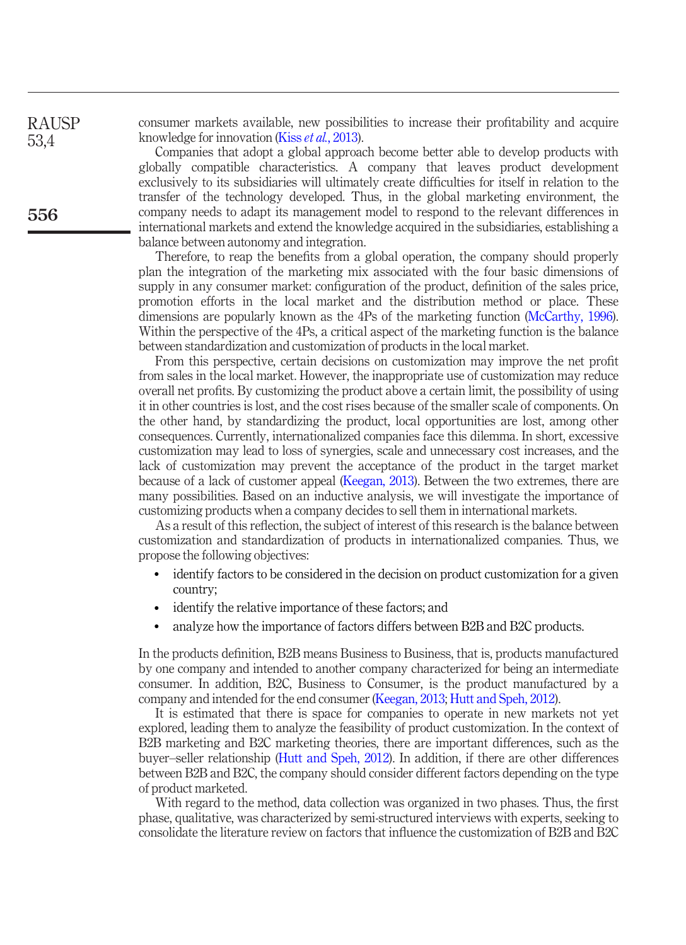consumer markets available, new possibilities to increase their profitability and acquire knowledge for innovation (Kiss *et al.*[, 2013](#page-18-0)).

> Companies that adopt a global approach become better able to develop products with globally compatible characteristics. A company that leaves product development exclusively to its subsidiaries will ultimately create difficulties for itself in relation to the transfer of the technology developed. Thus, in the global marketing environment, the company needs to adapt its management model to respond to the relevant differences in international markets and extend the knowledge acquired in the subsidiaries, establishing a balance between autonomy and integration.

> Therefore, to reap the benefits from a global operation, the company should properly plan the integration of the marketing mix associated with the four basic dimensions of supply in any consumer market: configuration of the product, definition of the sales price, promotion efforts in the local market and the distribution method or place. These dimensions are popularly known as the 4Ps of the marketing function ([McCarthy, 1996\)](#page-18-1). Within the perspective of the 4Ps, a critical aspect of the marketing function is the balance between standardization and customization of products in the local market.

> From this perspective, certain decisions on customization may improve the net profit from sales in the local market. However, the inappropriate use of customization may reduce overall net profits. By customizing the product above a certain limit, the possibility of using it in other countries is lost, and the cost rises because of the smaller scale of components. On the other hand, by standardizing the product, local opportunities are lost, among other consequences. Currently, internationalized companies face this dilemma. In short, excessive customization may lead to loss of synergies, scale and unnecessary cost increases, and the lack of customization may prevent the acceptance of the product in the target market because of a lack of customer appeal ([Keegan, 2013\)](#page-18-2). Between the two extremes, there are many possibilities. Based on an inductive analysis, we will investigate the importance of customizing products when a company decides to sell them in international markets.

> As a result of this reflection, the subject of interest of this research is the balance between customization and standardization of products in internationalized companies. Thus, we propose the following objectives:

- identify factors to be considered in the decision on product customization for a given country;
- identify the relative importance of these factors; and
- analyze how the importance of factors differs between B2B and B2C products.

In the products definition, B2B means Business to Business, that is, products manufactured by one company and intended to another company characterized for being an intermediate consumer. In addition, B2C, Business to Consumer, is the product manufactured by a company and intended for the end consumer [\(Keegan, 2013](#page-18-2); [Hutt and Speh, 2012](#page-18-3)).

It is estimated that there is space for companies to operate in new markets not yet explored, leading them to analyze the feasibility of product customization. In the context of B2B marketing and B2C marketing theories, there are important differences, such as the buyer–seller relationship [\(Hutt and Speh, 2012\)](#page-18-3). In addition, if there are other differences between B2B and B2C, the company should consider different factors depending on the type of product marketed.

With regard to the method, data collection was organized in two phases. Thus, the first phase, qualitative, was characterized by semi-structured interviews with experts, seeking to consolidate the literature review on factors that influence the customization of B2B and B2C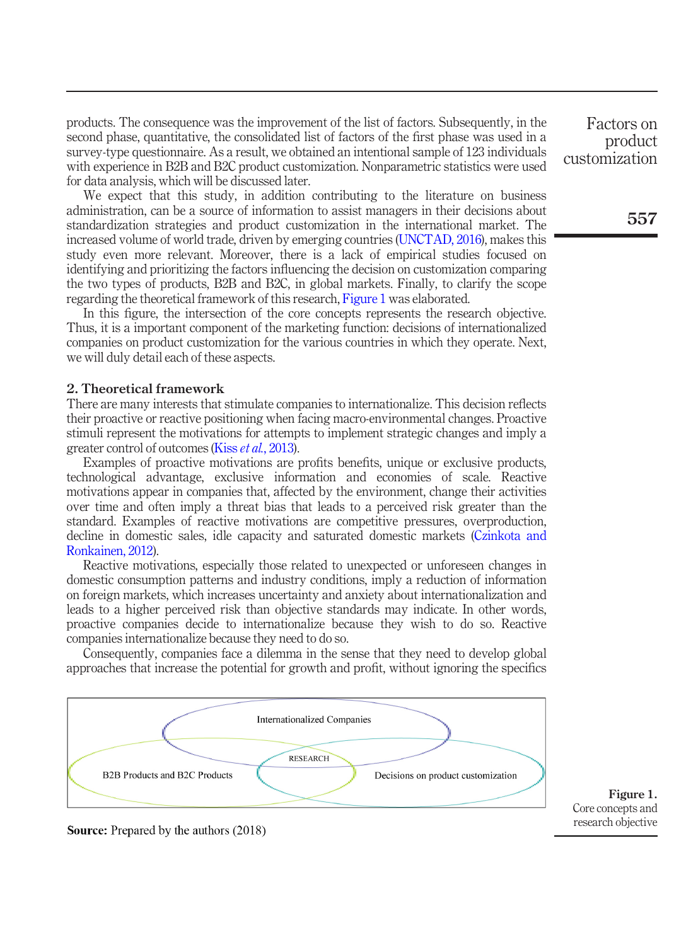products. The consequence was the improvement of the list of factors. Subsequently, in the second phase, quantitative, the consolidated list of factors of the first phase was used in a survey-type questionnaire. As a result, we obtained an intentional sample of 123 individuals with experience in B2B and B2C product customization. Nonparametric statistics were used for data analysis, which will be discussed later.

We expect that this study, in addition contributing to the literature on business administration, can be a source of information to assist managers in their decisions about standardization strategies and product customization in the international market. The increased volume of world trade, driven by emerging countries ([UNCTAD, 2016](#page-19-0)), makes this study even more relevant. Moreover, there is a lack of empirical studies focused on identifying and prioritizing the factors influencing the decision on customization comparing the two types of products, B2B and B2C, in global markets. Finally, to clarify the scope regarding the theoretical framework of this research, [Figure 1](#page-2-0) was elaborated.

In this figure, the intersection of the core concepts represents the research objective. Thus, it is a important component of the marketing function: decisions of internationalized companies on product customization for the various countries in which they operate. Next, we will duly detail each of these aspects.

# 2. Theoretical framework

There are many interests that stimulate companies to internationalize. This decision reflects their proactive or reactive positioning when facing macro-environmental changes. Proactive stimuli represent the motivations for attempts to implement strategic changes and imply a greater control of outcomes (Kiss et al.[, 2013](#page-18-0)).

Examples of proactive motivations are profits benefits, unique or exclusive products, technological advantage, exclusive information and economies of scale. Reactive motivations appear in companies that, affected by the environment, change their activities over time and often imply a threat bias that leads to a perceived risk greater than the standard. Examples of reactive motivations are competitive pressures, overproduction, decline in domestic sales, idle capacity and saturated domestic markets [\(Czinkota and](#page-18-4) [Ronkainen, 2012\)](#page-18-4).

Reactive motivations, especially those related to unexpected or unforeseen changes in domestic consumption patterns and industry conditions, imply a reduction of information on foreign markets, which increases uncertainty and anxiety about internationalization and leads to a higher perceived risk than objective standards may indicate. In other words, proactive companies decide to internationalize because they wish to do so. Reactive companies internationalize because they need to do so.

Consequently, companies face a dilemma in the sense that they need to develop global approaches that increase the potential for growth and profit, without ignoring the specifics



<span id="page-2-0"></span>Figure 1. Core concepts and research objective

**Source:** Prepared by the authors (2018)

Factors on product customization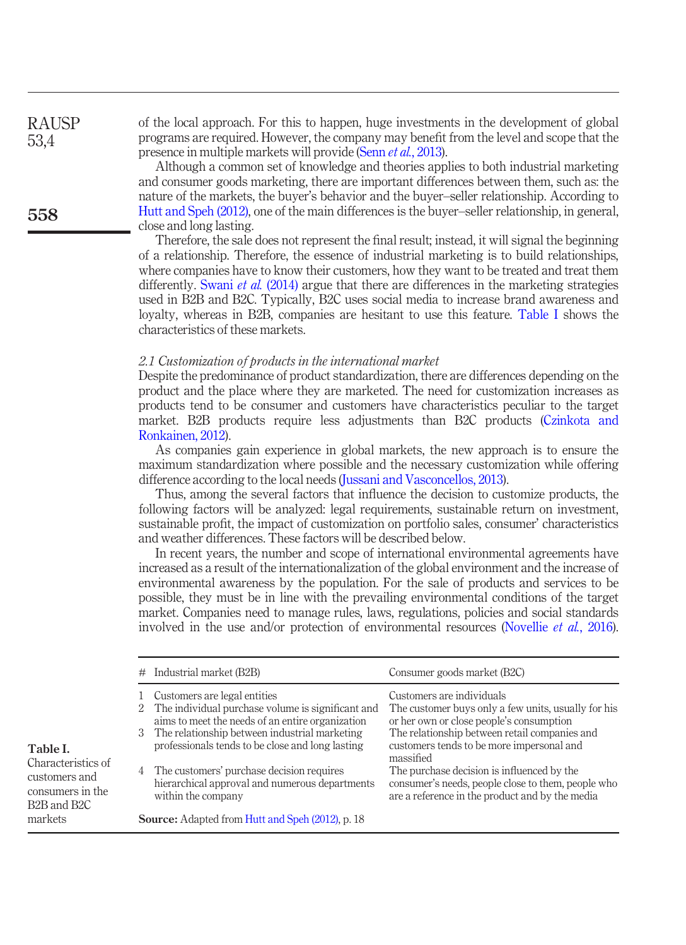**RAUSP** 53,4

558

of the local approach. For this to happen, huge investments in the development of global programs are required. However, the company may benefit from the level and scope that the presence in multiple markets will provide (Senn et al.[, 2013\)](#page-19-1).

Although a common set of knowledge and theories applies to both industrial marketing and consumer goods marketing, there are important differences between them, such as: the nature of the markets, the buyer's behavior and the buyer–seller relationship. According to [Hutt and Speh \(2012\),](#page-18-3) one of the main differences is the buyer–seller relationship, in general, close and long lasting.

Therefore, the sale does not represent the final result; instead, it will signal the beginning of a relationship. Therefore, the essence of industrial marketing is to build relationships, where companies have to know their customers, how they want to be treated and treat them differently. [Swani](#page-19-2) *et al.* (2014) argue that there are differences in the marketing strategies used in B2B and B2C. Typically, B2C uses social media to increase brand awareness and loyalty, whereas in B2B, companies are hesitant to use this feature. [Table I](#page-3-0) shows the characteristics of these markets.

#### 2.1 Customization of products in the international market

Despite the predominance of product standardization, there are differences depending on the product and the place where they are marketed. The need for customization increases as products tend to be consumer and customers have characteristics peculiar to the target market. B2B products require less adjustments than B2C products [\(Czinkota and](#page-18-4) [Ronkainen, 2012\)](#page-18-4).

As companies gain experience in global markets, the new approach is to ensure the maximum standardization where possible and the necessary customization while offering difference according to the local needs [\(Jussani and Vasconcellos, 2013\)](#page-18-5).

Thus, among the several factors that influence the decision to customize products, the following factors will be analyzed: legal requirements, sustainable return on investment, sustainable profit, the impact of customization on portfolio sales, consumer' characteristics and weather differences. These factors will be described below.

In recent years, the number and scope of international environmental agreements have increased as a result of the internationalization of the global environment and the increase of environmental awareness by the population. For the sale of products and services to be possible, they must be in line with the prevailing environmental conditions of the target market. Companies need to manage rules, laws, regulations, policies and social standards involved in the use and/or protection of environmental resources [\(Novellie](#page-18-6) *et al.*, 2016).

| # | Industrial market (B2B)                                                                                             | Consumer goods market (B2C)                                                                                                                         |  |  |
|---|---------------------------------------------------------------------------------------------------------------------|-----------------------------------------------------------------------------------------------------------------------------------------------------|--|--|
|   | Customers are legal entities                                                                                        | Customers are individuals                                                                                                                           |  |  |
| 2 | The individual purchase volume is significant and<br>aims to meet the needs of an entire organization               | The customer buys only a few units, usually for his<br>or her own or close people's consumption                                                     |  |  |
|   | 3 The relationship between industrial marketing<br>professionals tends to be close and long lasting                 | The relationship between retail companies and<br>customers tends to be more impersonal and<br>massified                                             |  |  |
|   | 4 The customers' purchase decision requires<br>hierarchical approval and numerous departments<br>within the company | The purchase decision is influenced by the<br>consumer's needs, people close to them, people who<br>are a reference in the product and by the media |  |  |
|   | <b>Source:</b> Adapted from Hutt and Speh (2012), p. 18                                                             |                                                                                                                                                     |  |  |

#### <span id="page-3-0"></span>Table I.

Characteristics of customers and consumers in the B2B and B2C markets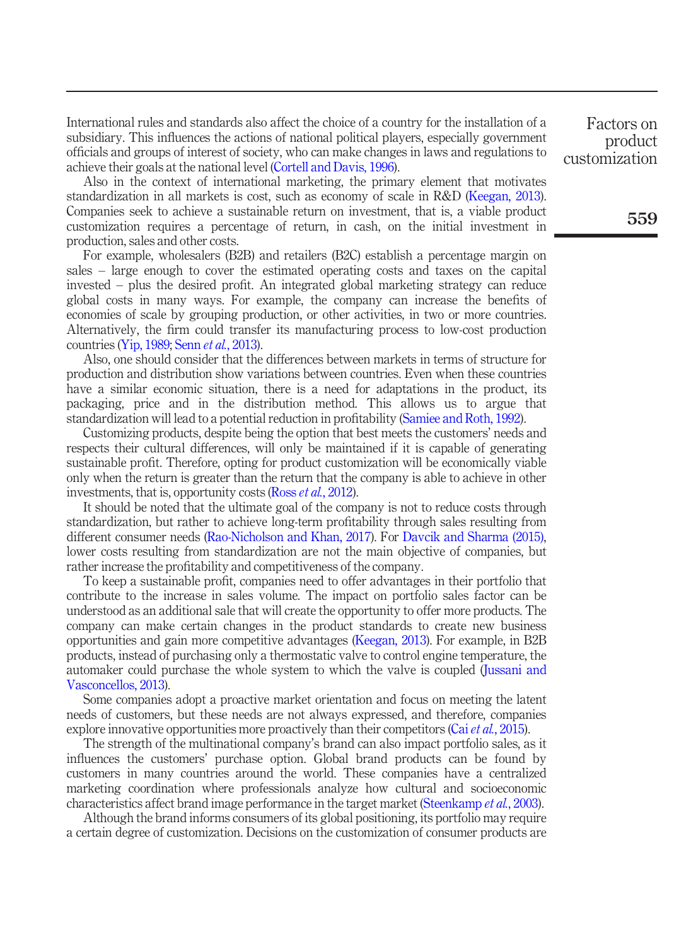International rules and standards also affect the choice of a country for the installation of a subsidiary. This influences the actions of national political players, especially government officials and groups of interest of society, who can make changes in laws and regulations to achieve their goals at the national level [\(Cortell and Davis, 1996](#page-18-7)).

Also in the context of international marketing, the primary element that motivates standardization in all markets is cost, such as economy of scale in R&D [\(Keegan, 2013\)](#page-18-2). Companies seek to achieve a sustainable return on investment, that is, a viable product customization requires a percentage of return, in cash, on the initial investment in production, sales and other costs.

For example, wholesalers (B2B) and retailers (B2C) establish a percentage margin on sales – large enough to cover the estimated operating costs and taxes on the capital invested – plus the desired profit. An integrated global marketing strategy can reduce global costs in many ways. For example, the company can increase the benefits of economies of scale by grouping production, or other activities, in two or more countries. Alternatively, the firm could transfer its manufacturing process to low-cost production countries ([Yip, 1989](#page-19-3); Senn et al.[, 2013\)](#page-19-1).

Also, one should consider that the differences between markets in terms of structure for production and distribution show variations between countries. Even when these countries have a similar economic situation, there is a need for adaptations in the product, its packaging, price and in the distribution method. This allows us to argue that standardization will lead to a potential reduction in profitability ([Samiee and Roth, 1992](#page-19-4)).

Customizing products, despite being the option that best meets the customers' needs and respects their cultural differences, will only be maintained if it is capable of generating sustainable profit. Therefore, opting for product customization will be economically viable only when the return is greater than the return that the company is able to achieve in other investments, that is, opportunity costs (Ross *et al.*[, 2012\)](#page-19-5).

It should be noted that the ultimate goal of the company is not to reduce costs through standardization, but rather to achieve long-term profitability through sales resulting from different consumer needs [\(Rao-Nicholson and Khan, 2017\)](#page-18-8). For [Davcik and Sharma \(2015\)](#page-18-9), lower costs resulting from standardization are not the main objective of companies, but rather increase the profitability and competitiveness of the company.

To keep a sustainable profit, companies need to offer advantages in their portfolio that contribute to the increase in sales volume. The impact on portfolio sales factor can be understood as an additional sale that will create the opportunity to offer more products. The company can make certain changes in the product standards to create new business opportunities and gain more competitive advantages ([Keegan, 2013\)](#page-18-2). For example, in B2B products, instead of purchasing only a thermostatic valve to control engine temperature, the automaker could purchase the whole system to which the valve is coupled ([Jussani and](#page-18-5) [Vasconcellos, 2013](#page-18-5)).

Some companies adopt a proactive market orientation and focus on meeting the latent needs of customers, but these needs are not always expressed, and therefore, companies explore innovative opportunities more proactively than their competitors (Cai *et al.*[, 2015](#page-17-0)).

The strength of the multinational company's brand can also impact portfolio sales, as it influences the customers' purchase option. Global brand products can be found by customers in many countries around the world. These companies have a centralized marketing coordination where professionals analyze how cultural and socioeconomic characteristics affect brand image performance in the target market ([Steenkamp](#page-19-6) et al., 2003).

Although the brand informs consumers of its global positioning, its portfolio may require a certain degree of customization. Decisions on the customization of consumer products are

Factors on product customization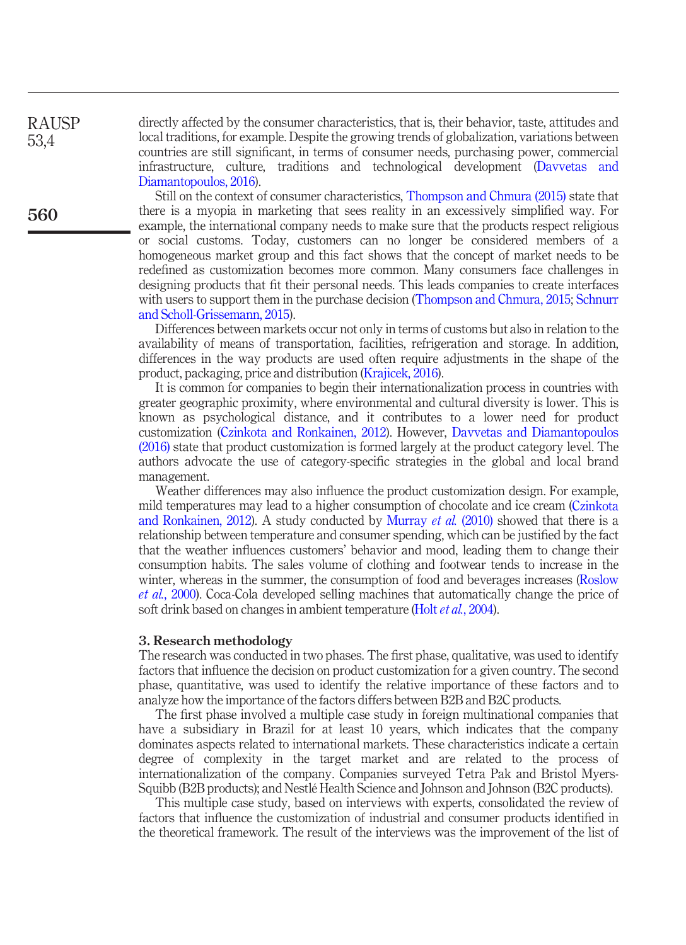directly affected by the consumer characteristics, that is, their behavior, taste, attitudes and local traditions, for example. Despite the growing trends of globalization, variations between countries are still significant, in terms of consumer needs, purchasing power, commercial infrastructure, culture, traditions and technological development [\(Davvetas and](#page-18-10) [Diamantopoulos, 2016](#page-18-10)). RAUSP

> Still on the context of consumer characteristics, [Thompson and Chmura \(2015\)](#page-19-7) state that there is a myopia in marketing that sees reality in an excessively simplified way. For example, the international company needs to make sure that the products respect religious or social customs. Today, customers can no longer be considered members of a homogeneous market group and this fact shows that the concept of market needs to be redefined as customization becomes more common. Many consumers face challenges in designing products that fit their personal needs. This leads companies to create interfaces with users to support them in the purchase decision ([Thompson and Chmura, 2015;](#page-19-7) [Schnurr](#page-19-8) [and Scholl-Grissemann, 2015](#page-19-8)).

> Differences between markets occur not only in terms of customs but also in relation to the availability of means of transportation, facilities, refrigeration and storage. In addition, differences in the way products are used often require adjustments in the shape of the product, packaging, price and distribution ([Krajicek, 2016\)](#page-18-11).

> It is common for companies to begin their internationalization process in countries with greater geographic proximity, where environmental and cultural diversity is lower. This is known as psychological distance, and it contributes to a lower need for product customization ([Czinkota and Ronkainen, 2012\)](#page-18-4). However, [Davvetas and Diamantopoulos](#page-18-10) [\(2016\)](#page-18-10) state that product customization is formed largely at the product category level. The authors advocate the use of category-specific strategies in the global and local brand management.

> Weather differences may also influence the product customization design. For example, mild temperatures may lead to a higher consumption of chocolate and ice cream ([Czinkota](#page-18-4) [and Ronkainen, 2012\)](#page-18-4). A study conducted by [Murray](#page-18-12) et al. (2010) showed that there is a relationship between temperature and consumer spending, which can be justified by the fact that the weather influences customers' behavior and mood, leading them to change their consumption habits. The sales volume of clothing and footwear tends to increase in the winter, whereas in the summer, the consumption of food and beverages increases [\(Roslow](#page-19-9) et al.[, 2000\)](#page-19-9). Coca-Cola developed selling machines that automatically change the price of soft drink based on changes in ambient temperature (Holt *et al.*[, 2004\)](#page-18-13).

#### 3. Research methodology

The research was conducted in two phases. The first phase, qualitative, was used to identify factors that influence the decision on product customization for a given country. The second phase, quantitative, was used to identify the relative importance of these factors and to analyze how the importance of the factors differs between B2B and B2C products.

The first phase involved a multiple case study in foreign multinational companies that have a subsidiary in Brazil for at least 10 years, which indicates that the company dominates aspects related to international markets. These characteristics indicate a certain degree of complexity in the target market and are related to the process of internationalization of the company. Companies surveyed Tetra Pak and Bristol Myers-Squibb (B2B products); and Nestlé Health Science and Johnson and Johnson (B2C products).

This multiple case study, based on interviews with experts, consolidated the review of factors that influence the customization of industrial and consumer products identified in the theoretical framework. The result of the interviews was the improvement of the list of

53,4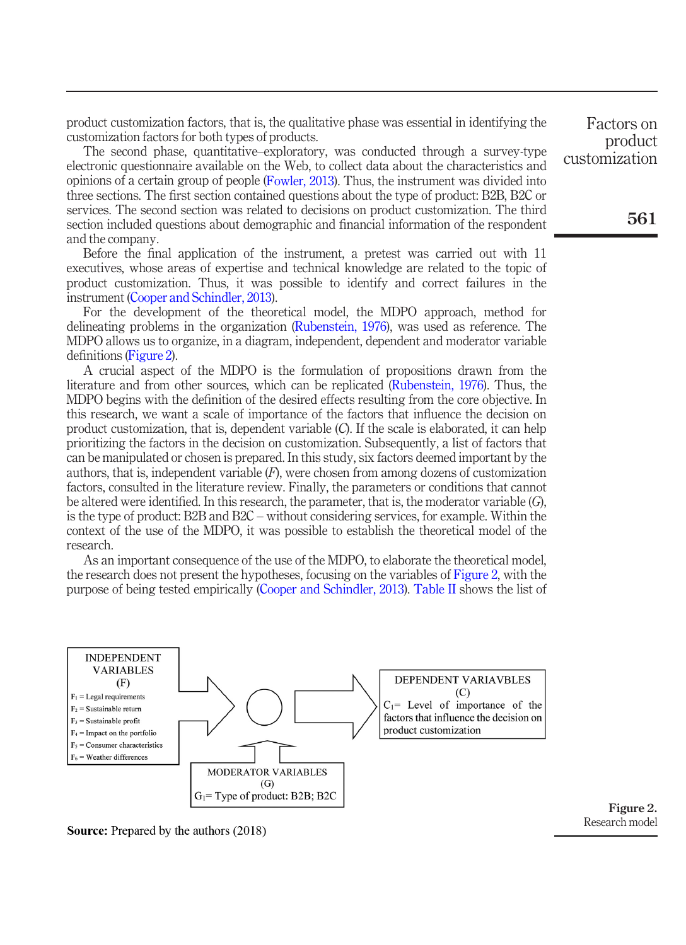product customization factors, that is, the qualitative phase was essential in identifying the customization factors for both types of products.

The second phase, quantitative–exploratory, was conducted through a survey-type electronic questionnaire available on the Web, to collect data about the characteristics and opinions of a certain group of people ([Fowler, 2013](#page-18-14)). Thus, the instrument was divided into three sections. The first section contained questions about the type of product: B2B, B2C or services. The second section was related to decisions on product customization. The third section included questions about demographic and financial information of the respondent and the company.

Before the final application of the instrument, a pretest was carried out with 11 executives, whose areas of expertise and technical knowledge are related to the topic of product customization. Thus, it was possible to identify and correct failures in the instrument ([Cooper and Schindler, 2013](#page-18-15)).

For the development of the theoretical model, the MDPO approach, method for delineating problems in the organization [\(Rubenstein, 1976](#page-19-10)), was used as reference. The MDPO allows us to organize, in a diagram, independent, dependent and moderator variable definitions [\(Figure 2\)](#page-6-0).

A crucial aspect of the MDPO is the formulation of propositions drawn from the literature and from other sources, which can be replicated [\(Rubenstein, 1976\)](#page-19-10). Thus, the MDPO begins with the definition of the desired effects resulting from the core objective. In this research, we want a scale of importance of the factors that influence the decision on product customization, that is, dependent variable (C). If the scale is elaborated, it can help prioritizing the factors in the decision on customization. Subsequently, a list of factors that can be manipulated or chosen is prepared. In this study, six factors deemed important by the authors, that is, independent variable  $(F)$ , were chosen from among dozens of customization factors, consulted in the literature review. Finally, the parameters or conditions that cannot be altered were identified. In this research, the parameter, that is, the moderator variable (G), is the type of product: B2B and B2C – without considering services, for example. Within the context of the use of the MDPO, it was possible to establish the theoretical model of the research.

As an important consequence of the use of the MDPO, to elaborate the theoretical model, the research does not present the hypotheses, focusing on the variables of [Figure 2,](#page-6-0) with the purpose of being tested empirically [\(Cooper and Schindler, 2013\)](#page-18-15). [Table II](#page-7-0) shows the list of



**Source:** Prepared by the authors (2018)

Factors on product customization

561

<span id="page-6-0"></span>Figure 2. Research model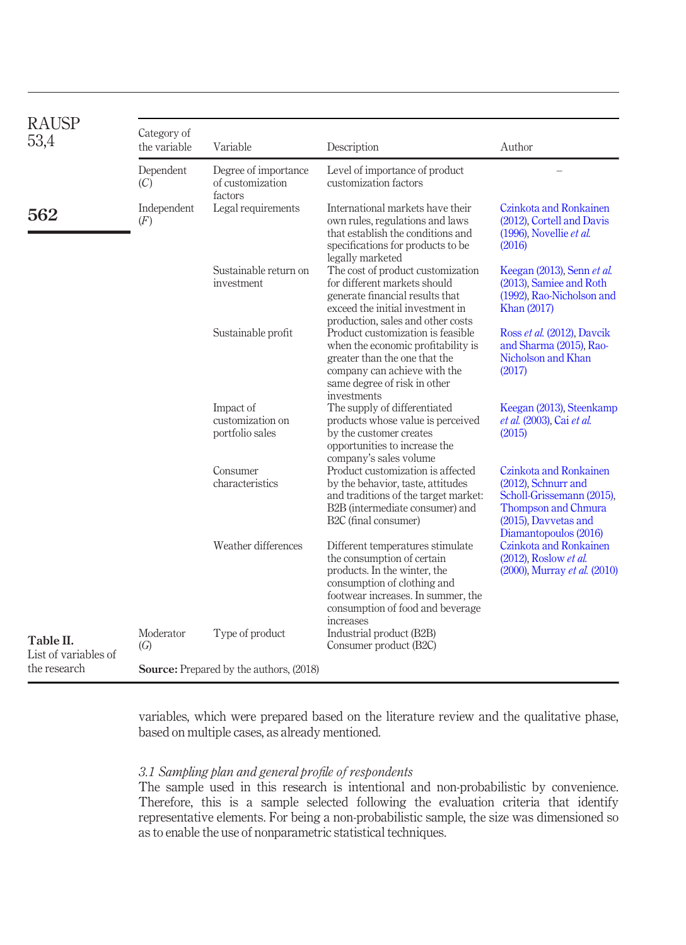| <b>RAUSP</b><br>53,4              | Category of<br>the variable                    | Variable                                            | Description                                                                                                                                                                                                          | Author                                                                                                                                                    |  |  |
|-----------------------------------|------------------------------------------------|-----------------------------------------------------|----------------------------------------------------------------------------------------------------------------------------------------------------------------------------------------------------------------------|-----------------------------------------------------------------------------------------------------------------------------------------------------------|--|--|
|                                   | Dependent<br>(C)                               | Degree of importance<br>of customization<br>factors | Level of importance of product<br>customization factors                                                                                                                                                              |                                                                                                                                                           |  |  |
| 562                               | Independent<br>(F)                             | Legal requirements                                  | International markets have their<br>own rules, regulations and laws<br>that establish the conditions and<br>specifications for products to be<br>legally marketed                                                    | Czinkota and Ronkainen<br>(2012), Cortell and Davis<br>(1996), Novellie et al.<br>(2016)                                                                  |  |  |
|                                   |                                                | Sustainable return on<br>investment                 | The cost of product customization<br>for different markets should<br>generate financial results that<br>exceed the initial investment in<br>production, sales and other costs                                        | Keegan (2013), Senn et al.<br>(2013), Samiee and Roth<br>(1992), Rao-Nicholson and<br>Khan (2017)                                                         |  |  |
|                                   |                                                | Sustainable profit                                  | Product customization is feasible<br>when the economic profitability is<br>greater than the one that the<br>company can achieve with the<br>same degree of risk in other<br>investments                              | Ross et al. (2012), Davcik<br>and Sharma (2015), Rao-<br>Nicholson and Khan<br>(2017)                                                                     |  |  |
|                                   |                                                | Impact of<br>customization on<br>portfolio sales    | The supply of differentiated<br>products whose value is perceived<br>by the customer creates<br>opportunities to increase the<br>company's sales volume                                                              | Keegan (2013), Steenkamp<br>et al. (2003), Cai et al.<br>(2015)                                                                                           |  |  |
|                                   |                                                | Consumer<br>characteristics                         | Product customization is affected<br>by the behavior, taste, attitudes<br>and traditions of the target market:<br>B2B (intermediate consumer) and<br>B2C (final consumer)                                            | Czinkota and Ronkainen<br>(2012), Schnurr and<br>Scholl-Grissemann (2015),<br><b>Thompson and Chmura</b><br>(2015), Davvetas and<br>Diamantopoulos (2016) |  |  |
|                                   |                                                | Weather differences                                 | Different temperatures stimulate<br>the consumption of certain<br>products. In the winter, the<br>consumption of clothing and<br>footwear increases. In summer, the<br>consumption of food and beverage<br>increases | Czinkota and Ronkainen<br>$(2012)$ , Roslow <i>et al.</i><br>$(2000)$ , Murray <i>et al.</i> $(2010)$                                                     |  |  |
| Table II.<br>List of variables of | Moderator<br>(G)                               | Type of product                                     | Industrial product (B2B)<br>Consumer product (B2C)                                                                                                                                                                   |                                                                                                                                                           |  |  |
| the research                      | <b>Source:</b> Prepared by the authors, (2018) |                                                     |                                                                                                                                                                                                                      |                                                                                                                                                           |  |  |

<span id="page-7-0"></span>variables, which were prepared based on the literature review and the qualitative phase, based on multiple cases, as already mentioned.

# 3.1 Sampling plan and general profile of respondents

The sample used in this research is intentional and non-probabilistic by convenience. Therefore, this is a sample selected following the evaluation criteria that identify representative elements. For being a non-probabilistic sample, the size was dimensioned so as to enable the use of nonparametric statistical techniques.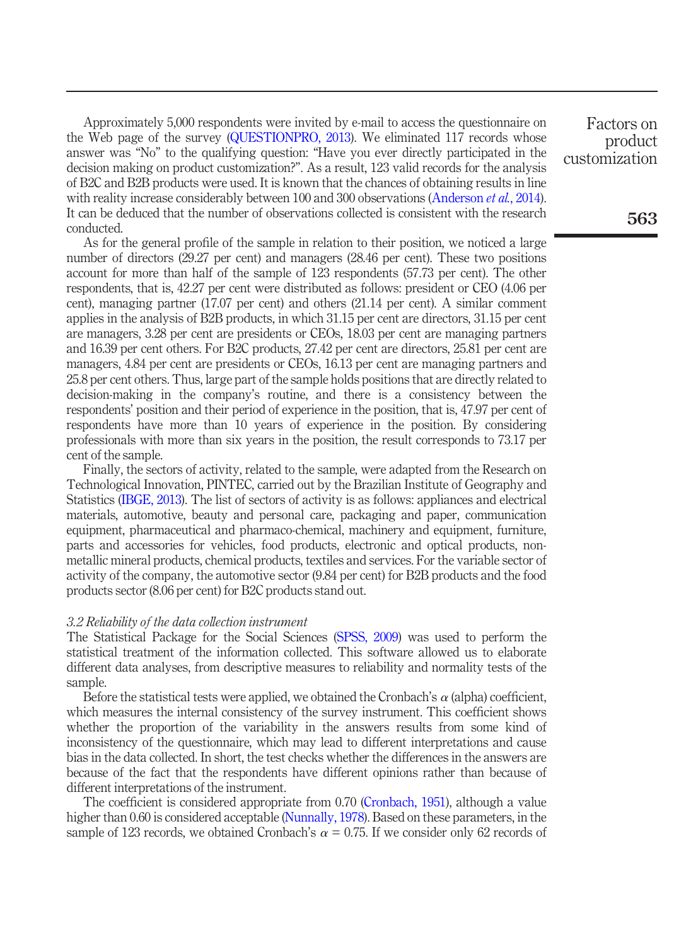Approximately 5,000 respondents were invited by e-mail to access the questionnaire on the Web page of the survey ([QUESTIONPRO, 2013](#page-18-16)). We eliminated 117 records whose answer was "No" to the qualifying question: "Have you ever directly participated in the decision making on product customization?". As a result, 123 valid records for the analysis of B2C and B2B products were used. It is known that the chances of obtaining results in line with reality increase considerably between 100 and 300 observations ([Anderson](#page-17-1) *et al.*, 2014). It can be deduced that the number of observations collected is consistent with the research conducted.

As for the general profile of the sample in relation to their position, we noticed a large number of directors (29.27 per cent) and managers (28.46 per cent). These two positions account for more than half of the sample of 123 respondents (57.73 per cent). The other respondents, that is, 42.27 per cent were distributed as follows: president or CEO (4.06 per cent), managing partner (17.07 per cent) and others (21.14 per cent). A similar comment applies in the analysis of B2B products, in which 31.15 per cent are directors, 31.15 per cent are managers, 3.28 per cent are presidents or CEOs, 18.03 per cent are managing partners and 16.39 per cent others. For B2C products, 27.42 per cent are directors, 25.81 per cent are managers, 4.84 per cent are presidents or CEOs, 16.13 per cent are managing partners and 25.8 per cent others. Thus, large part of the sample holds positions that are directly related to decision-making in the company's routine, and there is a consistency between the respondents' position and their period of experience in the position, that is, 47.97 per cent of respondents have more than 10 years of experience in the position. By considering professionals with more than six years in the position, the result corresponds to 73.17 per cent of the sample.

Finally, the sectors of activity, related to the sample, were adapted from the Research on Technological Innovation, PINTEC, carried out by the Brazilian Institute of Geography and Statistics [\(IBGE, 2013\)](#page-18-17). The list of sectors of activity is as follows: appliances and electrical materials, automotive, beauty and personal care, packaging and paper, communication equipment, pharmaceutical and pharmaco-chemical, machinery and equipment, furniture, parts and accessories for vehicles, food products, electronic and optical products, nonmetallic mineral products, chemical products, textiles and services. For the variable sector of activity of the company, the automotive sector (9.84 per cent) for B2B products and the food products sector (8.06 per cent) for B2C products stand out.

# 3.2 Reliability of the data collection instrument

The Statistical Package for the Social Sciences [\(SPSS, 2009](#page-19-11)) was used to perform the statistical treatment of the information collected. This software allowed us to elaborate different data analyses, from descriptive measures to reliability and normality tests of the sample.

Before the statistical tests were applied, we obtained the Cronbach's  $\alpha$  (alpha) coefficient, which measures the internal consistency of the survey instrument. This coefficient shows whether the proportion of the variability in the answers results from some kind of inconsistency of the questionnaire, which may lead to different interpretations and cause bias in the data collected. In short, the test checks whether the differences in the answers are because of the fact that the respondents have different opinions rather than because of different interpretations of the instrument.

The coefficient is considered appropriate from 0.70 ([Cronbach, 1951\)](#page-18-18), although a value higher than 0.60 is considered acceptable [\(Nunnally, 1978\)](#page-18-19). Based on these parameters, in the sample of 123 records, we obtained Cronbach's  $\alpha = 0.75$ . If we consider only 62 records of

Factors on product customization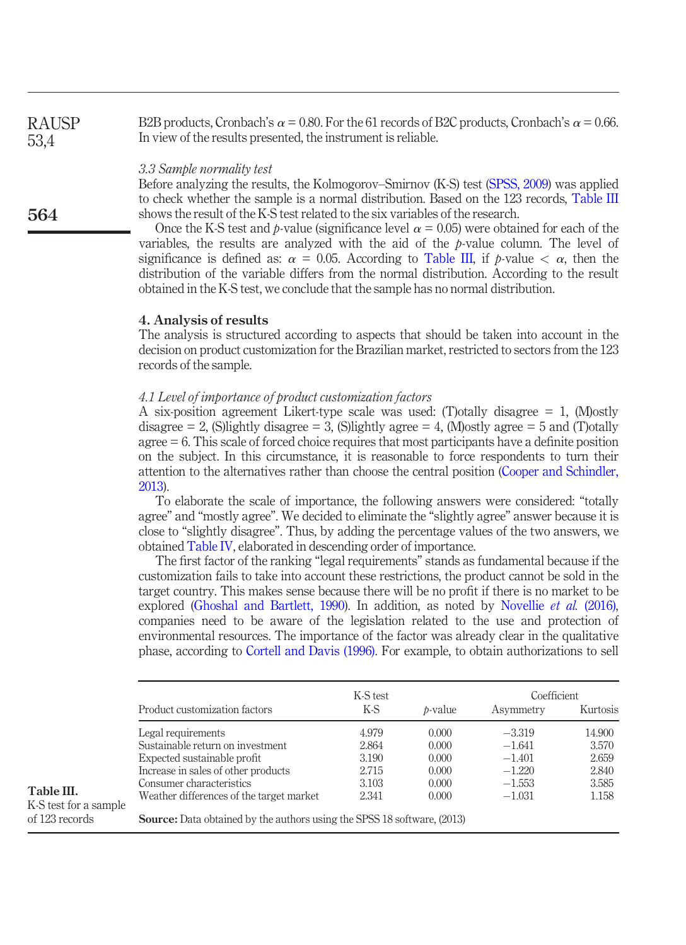B2B products, Cronbach's  $\alpha = 0.80$ . For the 61 records of B2C products, Cronbach's  $\alpha = 0.66$ . In view of the results presented, the instrument is reliable. **RAUSP** 53,4

#### 3.3 Sample normality test

Before analyzing the results, the Kolmogorov–Smirnov (K-S) test ([SPSS, 2009](#page-19-11)) was applied to check whether the sample is a normal distribution. Based on the 123 records, [Table III](#page-9-0) shows the result of the K-S test related to the six variables of the research.

Once the K-S test and p-value (significance level  $\alpha = 0.05$ ) were obtained for each of the variables, the results are analyzed with the aid of the  $p$ -value column. The level of significance is defined as:  $\alpha = 0.05$ . According to [Table III](#page-9-0), if p-value  $\langle \alpha$ , then the distribution of the variable differs from the normal distribution. According to the result obtained in the K-S test, we conclude that the sample has no normal distribution.

# 4. Analysis of results

The analysis is structured according to aspects that should be taken into account in the decision on product customization for the Brazilian market, restricted to sectors from the 123 records of the sample.

# 4.1 Level of importance of product customization factors

A six-position agreement Likert-type scale was used: (T)otally disagree  $= 1$ , (M)ostly disagree  $= 2$ , (S)lightly disagree  $= 3$ , (S)lightly agree  $= 4$ , (M)ostly agree  $= 5$  and (T)otally agree = 6. This scale of forced choice requires that most participants have a definite position on the subject. In this circumstance, it is reasonable to force respondents to turn their attention to the alternatives rather than choose the central position [\(Cooper and Schindler,](#page-18-15) [2013](#page-18-15)).

To elaborate the scale of importance, the following answers were considered: "totally agree" and "mostly agree". We decided to eliminate the "slightly agree" answer because it is close to "slightly disagree". Thus, by adding the percentage values of the two answers, we obtained [Table IV,](#page-10-0) elaborated in descending order of importance.

The first factor of the ranking "legal requirements" stands as fundamental because if the customization fails to take into account these restrictions, the product cannot be sold in the target country. This makes sense because there will be no profit if there is no market to be explored ([Ghoshal and Bartlett, 1990\)](#page-18-20). In addition, as noted by [Novellie](#page-18-6) *et al.* (2016), companies need to be aware of the legislation related to the use and protection of environmental resources. The importance of the factor was already clear in the qualitative phase, according to [Cortell and Davis \(1996\).](#page-18-7) For example, to obtain authorizations to sell

<span id="page-9-0"></span>

|                                     |                                                                                | K-S test |                 | Coefficient |          |
|-------------------------------------|--------------------------------------------------------------------------------|----------|-----------------|-------------|----------|
|                                     | Product customization factors                                                  | K-S      | <i>b</i> -value | Asymmetry   | Kurtosis |
|                                     | Legal requirements                                                             | 4.979    | 0.000           | $-3.319$    | 14.900   |
|                                     | Sustainable return on investment                                               | 2.864    | 0.000           | $-1.641$    | 3.570    |
|                                     | Expected sustainable profit                                                    | 3.190    | 0.000           | $-1.401$    | 2.659    |
|                                     | Increase in sales of other products                                            | 2.715    | 0.000           | $-1.220$    | 2.840    |
|                                     | Consumer characteristics                                                       | 3.103    | 0.000           | $-1.553$    | 3.585    |
| Table III.<br>K-S test for a sample | Weather differences of the target market                                       | 2.341    | 0.000           | $-1.031$    | 1.158    |
| of 123 records                      | <b>Source:</b> Data obtained by the authors using the SPSS 18 software, (2013) |          |                 |             |          |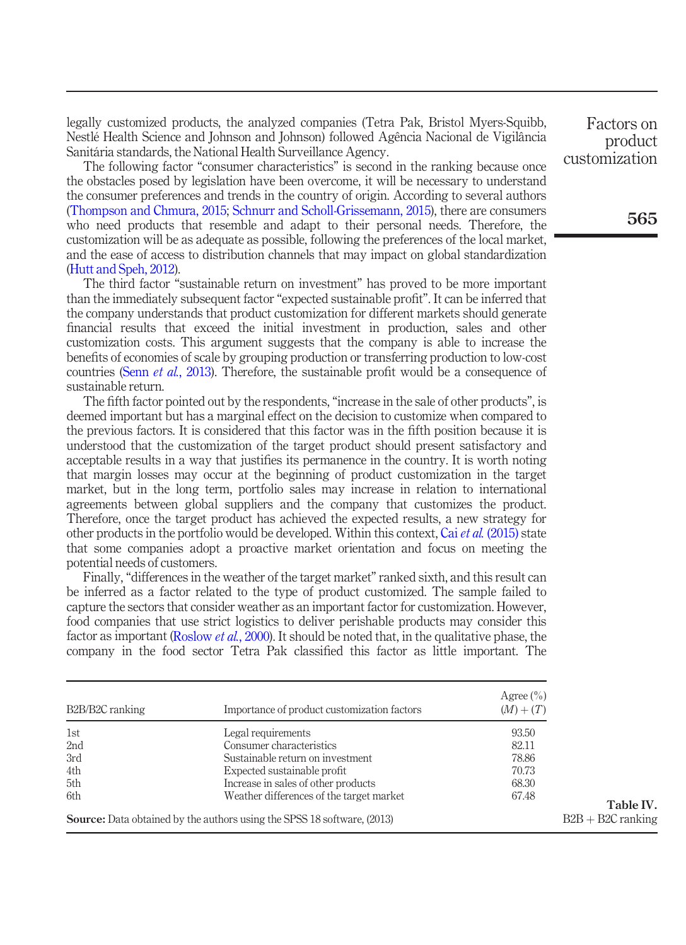legally customized products, the analyzed companies (Tetra Pak, Bristol Myers-Squibb, Nestlé Health Science and Johnson and Johnson) followed Agência Nacional de Vigilância Sanitária standards, the National Health Surveillance Agency.

The following factor "consumer characteristics" is second in the ranking because once the obstacles posed by legislation have been overcome, it will be necessary to understand the consumer preferences and trends in the country of origin. According to several authors [\(Thompson and Chmura, 2015](#page-19-7); [Schnurr and Scholl-Grissemann, 2015\)](#page-19-8), there are consumers who need products that resemble and adapt to their personal needs. Therefore, the customization will be as adequate as possible, following the preferences of the local market, and the ease of access to distribution channels that may impact on global standardization [\(Hutt and Speh, 2012\)](#page-18-3).

The third factor "sustainable return on investment" has proved to be more important than the immediately subsequent factor "expected sustainable profit". It can be inferred that the company understands that product customization for different markets should generate financial results that exceed the initial investment in production, sales and other customization costs. This argument suggests that the company is able to increase the benefits of economies of scale by grouping production or transferring production to low-cost countries (Senn *et al.*[, 2013\)](#page-19-1). Therefore, the sustainable profit would be a consequence of sustainable return.

The fifth factor pointed out by the respondents,"increase in the sale of other products", is deemed important but has a marginal effect on the decision to customize when compared to the previous factors. It is considered that this factor was in the fifth position because it is understood that the customization of the target product should present satisfactory and acceptable results in a way that justifies its permanence in the country. It is worth noting that margin losses may occur at the beginning of product customization in the target market, but in the long term, portfolio sales may increase in relation to international agreements between global suppliers and the company that customizes the product. Therefore, once the target product has achieved the expected results, a new strategy for other products in the portfolio would be developed. Within this context, Cai et al. [\(2015\)](#page-17-0) state that some companies adopt a proactive market orientation and focus on meeting the potential needs of customers.

Finally, "differences in the weather of the target market" ranked sixth, and this result can be inferred as a factor related to the type of product customized. The sample failed to capture the sectors that consider weather as an important factor for customization. However, food companies that use strict logistics to deliver perishable products may consider this factor as important ([Roslow](#page-19-9) *et al.*, 2000). It should be noted that, in the qualitative phase, the company in the food sector Tetra Pak classified this factor as little important. The

<span id="page-10-0"></span>

| B2B/B2C ranking | Importance of product customization factors                                    | Agree $(\% )$<br>$(M) + (T)$ |                     |
|-----------------|--------------------------------------------------------------------------------|------------------------------|---------------------|
| 1st             | Legal requirements                                                             | 93.50                        |                     |
| 2nd             | Consumer characteristics                                                       | 82.11                        |                     |
| 3rd             | Sustainable return on investment                                               | 78.86                        |                     |
| 4th             | Expected sustainable profit                                                    | 70.73                        |                     |
| 5th             | Increase in sales of other products                                            | 68.30                        |                     |
| 6th             | Weather differences of the target market                                       | 67.48                        | Table IV.           |
|                 | <b>Source:</b> Data obtained by the authors using the SPSS 18 software, (2013) |                              | $B2B + B2C$ ranking |

Factors on product customization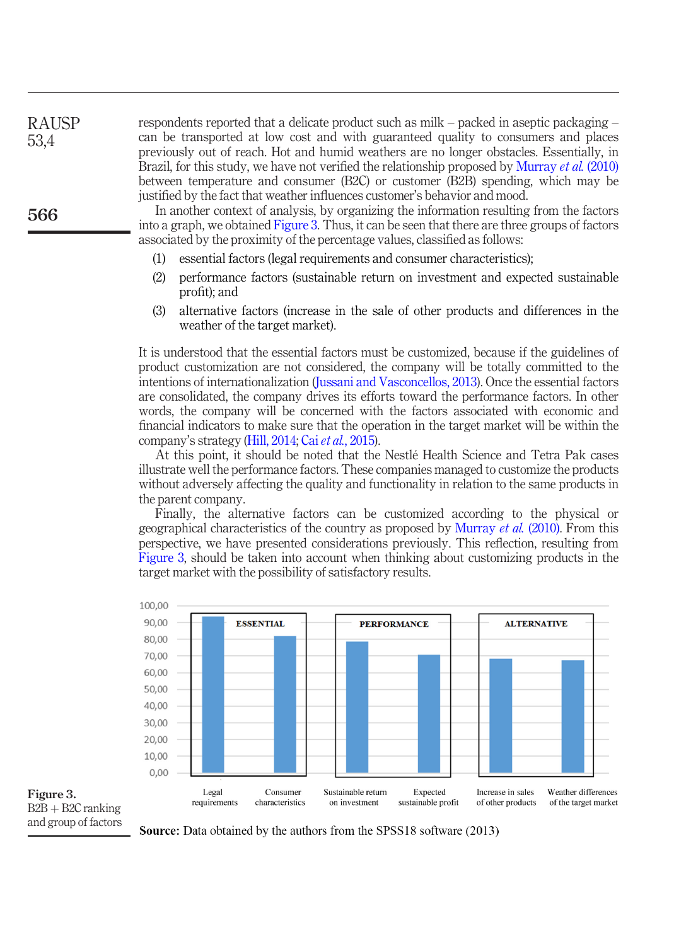respondents reported that a delicate product such as milk – packed in aseptic packaging – can be transported at low cost and with guaranteed quality to consumers and places previously out of reach. Hot and humid weathers are no longer obstacles. Essentially, in Brazil, for this study, we have not verified the relationship proposed by [Murray](#page-18-12) *et al.* (2010) between temperature and consumer (B2C) or customer (B2B) spending, which may be justified by the fact that weather influences customer's behavior and mood.

In another context of analysis, by organizing the information resulting from the factors into a graph, we obtained [Figure 3](#page-11-0). Thus, it can be seen that there are three groups of factors associated by the proximity of the percentage values, classified as follows:

- (1) essential factors (legal requirements and consumer characteristics);
- (2) performance factors (sustainable return on investment and expected sustainable profit); and
- (3) alternative factors (increase in the sale of other products and differences in the weather of the target market).

It is understood that the essential factors must be customized, because if the guidelines of product customization are not considered, the company will be totally committed to the intentions of internationalization [\(Jussani and Vasconcellos, 2013](#page-18-5)). Once the essential factors are consolidated, the company drives its efforts toward the performance factors. In other words, the company will be concerned with the factors associated with economic and financial indicators to make sure that the operation in the target market will be within the company's strategy ([Hill, 2014;](#page-18-21) Cai et al.[, 2015](#page-17-0)).

At this point, it should be noted that the Nestlé Health Science and Tetra Pak cases illustrate well the performance factors. These companies managed to customize the products without adversely affecting the quality and functionality in relation to the same products in the parent company.

Finally, the alternative factors can be customized according to the physical or geographical characteristics of the country as proposed by [Murray](#page-18-12) et al. (2010). From this perspective, we have presented considerations previously. This reflection, resulting from [Figure 3](#page-11-0), should be taken into account when thinking about customizing products in the target market with the possibility of satisfactory results.



<span id="page-11-0"></span>

**Source:** Data obtained by the authors from the SPSS18 software (2013)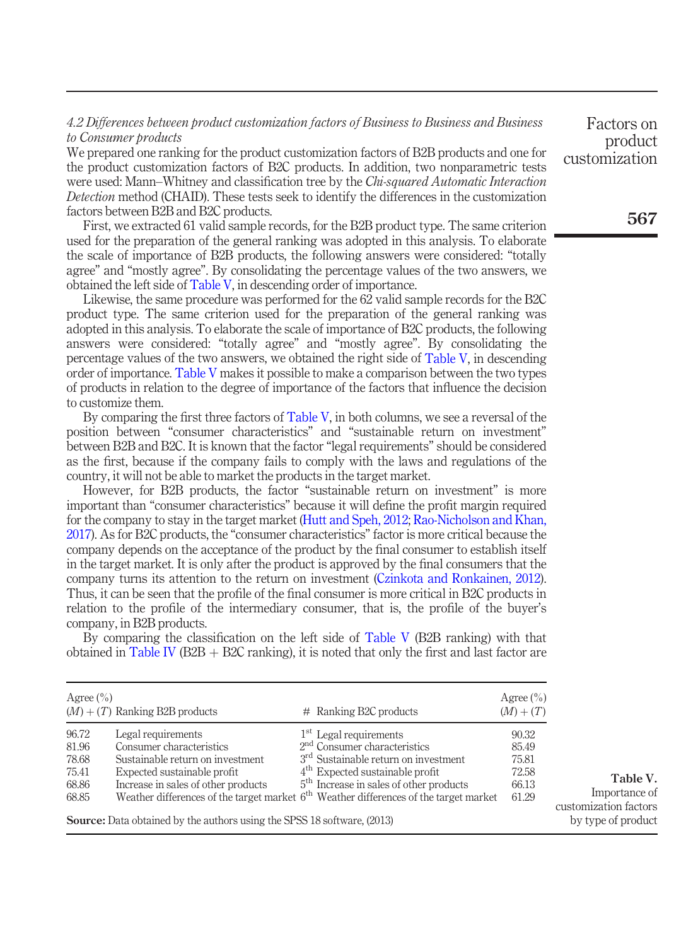# 4.2 Differences between product customization factors of Business to Business and Business to Consumer products

We prepared one ranking for the product customization factors of B2B products and one for the product customization factors of B2C products. In addition, two nonparametric tests were used: Mann–Whitney and classification tree by the *Chi-squared Automatic Interaction* Detection method (CHAID). These tests seek to identify the differences in the customization factors between B2B and B2C products.

First, we extracted 61 valid sample records, for the B2B product type. The same criterion used for the preparation of the general ranking was adopted in this analysis. To elaborate the scale of importance of B2B products, the following answers were considered: "totally agree" and "mostly agree". By consolidating the percentage values of the two answers, we obtained the left side of [Table V,](#page-12-0) in descending order of importance.

Likewise, the same procedure was performed for the 62 valid sample records for the B2C product type. The same criterion used for the preparation of the general ranking was adopted in this analysis. To elaborate the scale of importance of B2C products, the following answers were considered: "totally agree" and "mostly agree". By consolidating the percentage values of the two answers, we obtained the right side of [Table V](#page-12-0), in descending order of importance. [Table V](#page-12-0) makes it possible to make a comparison between the two types of products in relation to the degree of importance of the factors that influence the decision to customize them.

By comparing the first three factors of [Table V,](#page-12-0) in both columns, we see a reversal of the position between "consumer characteristics" and "sustainable return on investment" between B2B and B2C. It is known that the factor "legal requirements" should be considered as the first, because if the company fails to comply with the laws and regulations of the country, it will not be able to market the products in the target market.

However, for B2B products, the factor "sustainable return on investment" is more important than "consumer characteristics" because it will define the profit margin required for the company to stay in the target market ([Hutt and Speh, 2012;](#page-18-3) [Rao-Nicholson and Khan,](#page-18-8) [2017\)](#page-18-8). As for B2C products, the "consumer characteristics" factor is more critical because the company depends on the acceptance of the product by the final consumer to establish itself in the target market. It is only after the product is approved by the final consumers that the company turns its attention to the return on investment [\(Czinkota and Ronkainen, 2012\)](#page-18-4). Thus, it can be seen that the profile of the final consumer is more critical in B2C products in relation to the profile of the intermediary consumer, that is, the profile of the buyer's company, in B2B products.

By comparing the classification on the left side of [Table V](#page-12-0) (B2B ranking) with that obtained in [Table IV](#page-10-0) ( $B2B + B2C$  ranking), it is noted that only the first and last factor are

<span id="page-12-0"></span>

| Agree $(\% )$                                      | $(M) + (T)$ Ranking B2B products                                                                                                                                                                                                           | $\#$ Ranking B2C products                                                                                                                                                                                                                                                                                       | Agree $(\% )$<br>$(M) + (T)$                       |                                                                          |
|----------------------------------------------------|--------------------------------------------------------------------------------------------------------------------------------------------------------------------------------------------------------------------------------------------|-----------------------------------------------------------------------------------------------------------------------------------------------------------------------------------------------------------------------------------------------------------------------------------------------------------------|----------------------------------------------------|--------------------------------------------------------------------------|
| 96.72<br>81.96<br>78.68<br>75.41<br>68.86<br>68.85 | Legal requirements<br>Consumer characteristics<br>Sustainable return on investment<br>Expected sustainable profit<br>Increase in sales of other products<br><b>Source:</b> Data obtained by the authors using the SPSS 18 software, (2013) | $1st$ Legal requirements<br>$2nd$ Consumer characteristics<br>3 <sup>rd</sup> Sustainable return on investment<br>$4th$ Expected sustainable profit<br>5 <sup>th</sup> Increase in sales of other products<br>Weather differences of the target market 6 <sup>th</sup> Weather differences of the target market | 90.32<br>85.49<br>75.81<br>72.58<br>66.13<br>61.29 | Table V.<br>Importance of<br>customization factors<br>by type of product |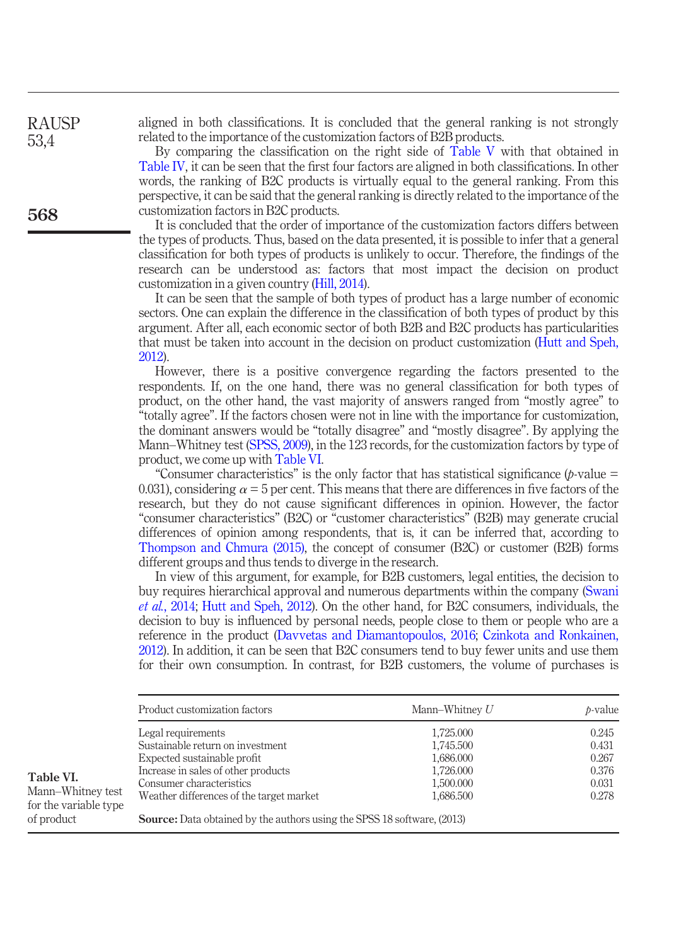aligned in both classifications. It is concluded that the general ranking is not strongly related to the importance of the customization factors of B2B products.

By comparing the classification on the right side of [Table V](#page-12-0) with that obtained in [Table IV](#page-10-0), it can be seen that the first four factors are aligned in both classifications. In other words, the ranking of B2C products is virtually equal to the general ranking. From this perspective, it can be said that the general ranking is directly related to the importance of the customization factors in B2C products.

It is concluded that the order of importance of the customization factors differs between the types of products. Thus, based on the data presented, it is possible to infer that a general classification for both types of products is unlikely to occur. Therefore, the findings of the research can be understood as: factors that most impact the decision on product customization in a given country ([Hill, 2014\)](#page-18-21).

It can be seen that the sample of both types of product has a large number of economic sectors. One can explain the difference in the classification of both types of product by this argument. After all, each economic sector of both B2B and B2C products has particularities that must be taken into account in the decision on product customization [\(Hutt and Speh,](#page-18-3) [2012](#page-18-3)).

However, there is a positive convergence regarding the factors presented to the respondents. If, on the one hand, there was no general classification for both types of product, on the other hand, the vast majority of answers ranged from "mostly agree" to "totally agree". If the factors chosen were not in line with the importance for customization, the dominant answers would be "totally disagree" and "mostly disagree". By applying the Mann–Whitney test ([SPSS, 2009](#page-19-11)), in the 123 records, for the customization factors by type of product, we come up with [Table VI](#page-13-0).

"Consumer characteristics" is the only factor that has statistical significance  $(p$ -value = 0.031), considering  $\alpha$  = 5 per cent. This means that there are differences in five factors of the research, but they do not cause significant differences in opinion. However, the factor "consumer characteristics" (B2C) or "customer characteristics" (B2B) may generate crucial differences of opinion among respondents, that is, it can be inferred that, according to [Thompson and Chmura \(2015\)](#page-19-7), the concept of consumer (B2C) or customer (B2B) forms different groups and thus tends to diverge in the research.

In view of this argument, for example, for B2B customers, legal entities, the decision to buy requires hierarchical approval and numerous departments within the company [\(Swani](#page-19-2) et al.[, 2014;](#page-19-2) [Hutt and Speh, 2012](#page-18-3)). On the other hand, for B2C consumers, individuals, the decision to buy is influenced by personal needs, people close to them or people who are a reference in the product [\(Davvetas and Diamantopoulos, 2016](#page-18-10); [Czinkota and Ronkainen,](#page-18-4) [2012](#page-18-4)). In addition, it can be seen that B2C consumers tend to buy fewer units and use them for their own consumption. In contrast, for B2B customers, the volume of purchases is

<span id="page-13-0"></span>

|                                                                       | Product customization factors                                                                                                                                                                                                                                                          | Mann-Whitney $U$                                                           | <i>b</i> -value                                    |
|-----------------------------------------------------------------------|----------------------------------------------------------------------------------------------------------------------------------------------------------------------------------------------------------------------------------------------------------------------------------------|----------------------------------------------------------------------------|----------------------------------------------------|
| Table VI.<br>Mann-Whitney test<br>for the variable type<br>of product | Legal requirements<br>Sustainable return on investment<br>Expected sustainable profit<br>Increase in sales of other products<br>Consumer characteristics<br>Weather differences of the target market<br><b>Source:</b> Data obtained by the authors using the SPSS 18 software, (2013) | 1,725,000<br>1,745.500<br>1,686,000<br>1,726,000<br>1,500,000<br>1.686.500 | 0.245<br>0.431<br>0.267<br>0.376<br>0.031<br>0.278 |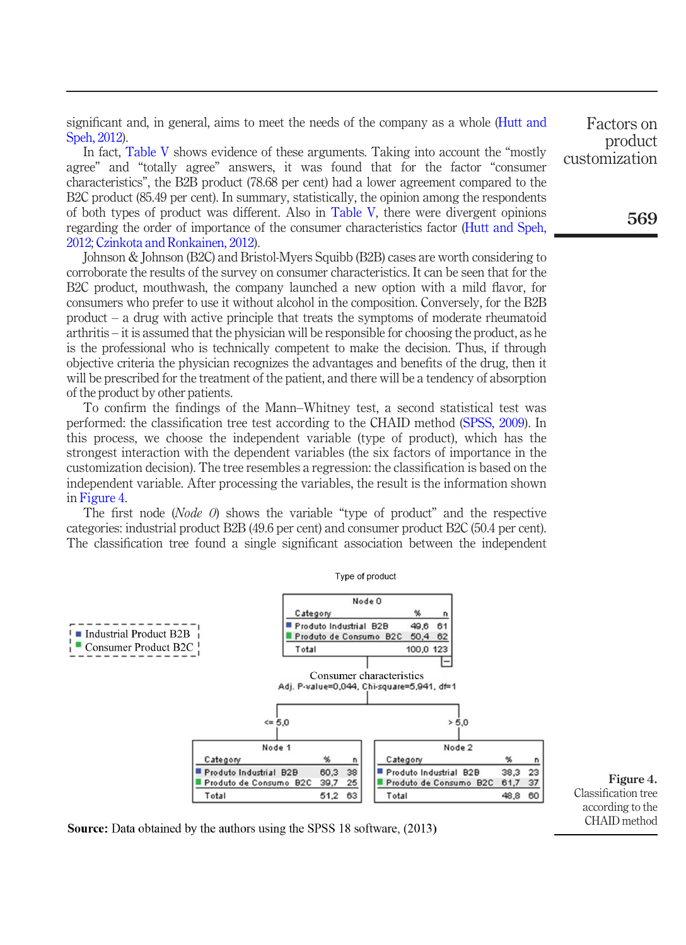significant and, in general, aims to meet the needs of the company as a whole [\(Hutt and](#page-18-3) [Speh, 2012\)](#page-18-3).

In fact, [Table V](#page-12-0) shows evidence of these arguments. Taking into account the "mostly agree" and "totally agree" answers, it was found that for the factor "consumer characteristics", the B2B product (78.68 per cent) had a lower agreement compared to the B2C product (85.49 per cent). In summary, statistically, the opinion among the respondents of both types of product was different. Also in [Table V](#page-12-0), there were divergent opinions regarding the order of importance of the consumer characteristics factor ([Hutt and Speh,](#page-18-3) [2012;](#page-18-3) [Czinkota and Ronkainen, 2012\)](#page-18-4).

Johnson & Johnson (B2C) and Bristol-Myers Squibb (B2B) cases are worth considering to corroborate the results of the survey on consumer characteristics. It can be seen that for the B2C product, mouthwash, the company launched a new option with a mild flavor, for consumers who prefer to use it without alcohol in the composition. Conversely, for the B2B product – a drug with active principle that treats the symptoms of moderate rheumatoid arthritis – it is assumed that the physician will be responsible for choosing the product, as he is the professional who is technically competent to make the decision. Thus, if through objective criteria the physician recognizes the advantages and benefits of the drug, then it will be prescribed for the treatment of the patient, and there will be a tendency of absorption of the product by other patients.

To confirm the findings of the Mann–Whitney test, a second statistical test was performed: the classification tree test according to the CHAID method [\(SPSS, 2009](#page-19-11)). In this process, we choose the independent variable (type of product), which has the strongest interaction with the dependent variables (the six factors of importance in the customization decision). The tree resembles a regression: the classification is based on the independent variable. After processing the variables, the result is the information shown in [Figure 4.](#page-14-0)

The first node (Node 0) shows the variable "type of product" and the respective categories: industrial product B2B (49.6 per cent) and consumer product B2C (50.4 per cent). The classification tree found a single significant association between the independent



<span id="page-14-0"></span>Source: Data obtained by the authors using the SPSS 18 software, (2013)

Factors on product customization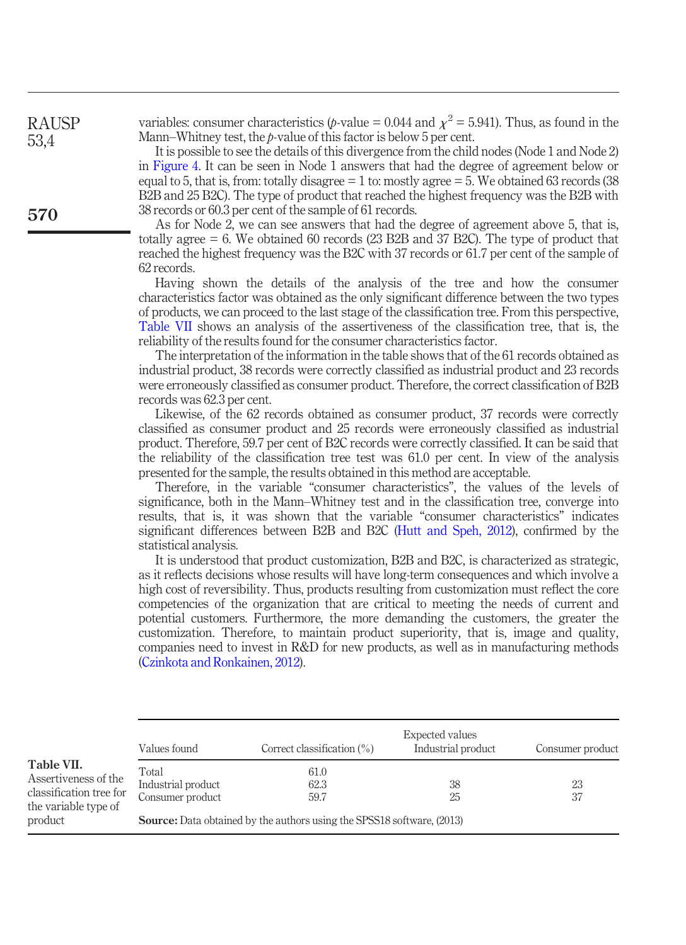variables: consumer characteristics (p-value = 0.044 and  $\chi^2$  = 5.941). Thus, as found in the Mann–Whitney test, the *p*-value of this factor is below 5 per cent. RAUSP

> It is possible to see the details of this divergence from the child nodes (Node 1 and Node 2) in [Figure 4.](#page-14-0) It can be seen in Node 1 answers that had the degree of agreement below or equal to 5, that is, from: totally disagree  $= 1$  to: mostly agree  $= 5$ . We obtained 63 records (38 B2B and 25 B2C). The type of product that reached the highest frequency was the B2B with 38 records or 60.3 per cent of the sample of 61 records.

> As for Node 2, we can see answers that had the degree of agreement above 5, that is, totally agree = 6. We obtained 60 records (23 B2B and 37 B2C). The type of product that reached the highest frequency was the B2C with 37 records or 61.7 per cent of the sample of 62 records.

> Having shown the details of the analysis of the tree and how the consumer characteristics factor was obtained as the only significant difference between the two types of products, we can proceed to the last stage of the classification tree. From this perspective, [Table VII](#page-15-0) shows an analysis of the assertiveness of the classification tree, that is, the reliability of the results found for the consumer characteristics factor.

> The interpretation of the information in the table shows that of the 61 records obtained as industrial product, 38 records were correctly classified as industrial product and 23 records were erroneously classified as consumer product. Therefore, the correct classification of B2B records was 62.3 per cent.

> Likewise, of the 62 records obtained as consumer product, 37 records were correctly classified as consumer product and 25 records were erroneously classified as industrial product. Therefore, 59.7 per cent of B2C records were correctly classified. It can be said that the reliability of the classification tree test was 61.0 per cent. In view of the analysis presented for the sample, the results obtained in this method are acceptable.

> Therefore, in the variable "consumer characteristics", the values of the levels of significance, both in the Mann–Whitney test and in the classification tree, converge into results, that is, it was shown that the variable "consumer characteristics" indicates significant differences between B2B and B2C [\(Hutt and Speh, 2012](#page-18-3)), confirmed by the statistical analysis.

> It is understood that product customization, B2B and B2C, is characterized as strategic, as it reflects decisions whose results will have long-term consequences and which involve a high cost of reversibility. Thus, products resulting from customization must reflect the core competencies of the organization that are critical to meeting the needs of current and potential customers. Furthermore, the more demanding the customers, the greater the customization. Therefore, to maintain product superiority, that is, image and quality, companies need to invest in R&D for new products, as well as in manufacturing methods [\(Czinkota and Ronkainen, 2012\)](#page-18-4).

<span id="page-15-0"></span>

|                                                                                       | Values found                                    | Correct classification $(\% )$                                                | Expected values<br>Industrial product | Consumer product |
|---------------------------------------------------------------------------------------|-------------------------------------------------|-------------------------------------------------------------------------------|---------------------------------------|------------------|
| Table VII.<br>Assertiveness of the<br>classification tree for<br>the variable type of | Total<br>Industrial product<br>Consumer product | 61.0<br>62.3<br>59.7                                                          | 38<br>25                              | 23<br>37         |
| product                                                                               |                                                 | <b>Source:</b> Data obtained by the authors using the SPSS18 software, (2013) |                                       |                  |

570

53,4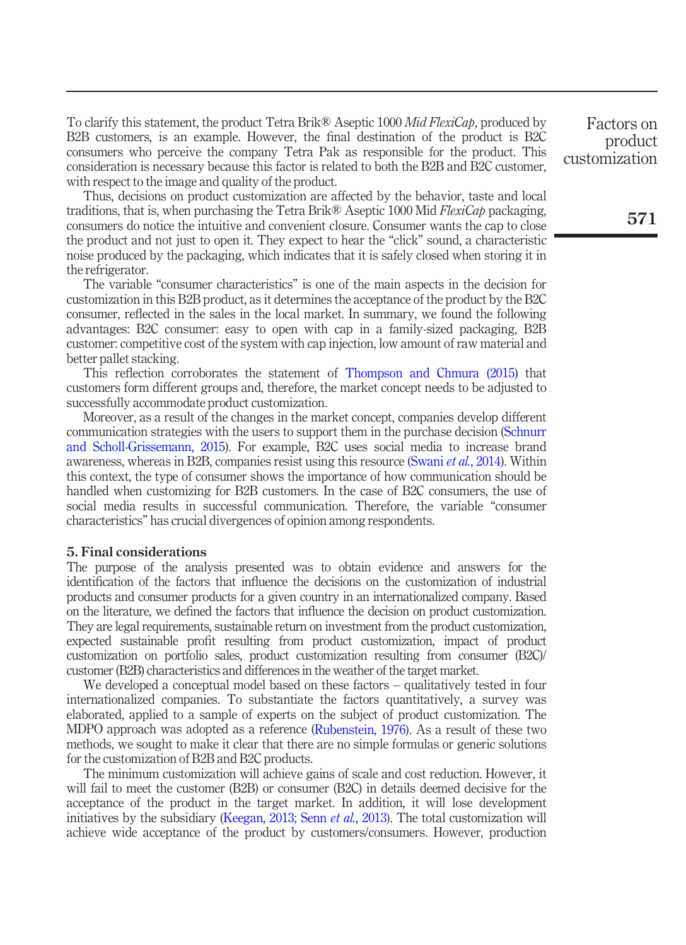To clarify this statement, the product Tetra Brik® Aseptic 1000 *Mid FlexiCap*, produced by B2B customers, is an example. However, the final destination of the product is B2C consumers who perceive the company Tetra Pak as responsible for the product. This consideration is necessary because this factor is related to both the B2B and B2C customer, with respect to the image and quality of the product.

Thus, decisions on product customization are affected by the behavior, taste and local traditions, that is, when purchasing the Tetra Brik<sup>®</sup> Aseptic 1000 Mid FlexiCap packaging, consumers do notice the intuitive and convenient closure. Consumer wants the cap to close the product and not just to open it. They expect to hear the "click" sound, a characteristic noise produced by the packaging, which indicates that it is safely closed when storing it in the refrigerator.

The variable "consumer characteristics" is one of the main aspects in the decision for customization in this B2B product, as it determines the acceptance of the product by the B2C consumer, reflected in the sales in the local market. In summary, we found the following advantages: B2C consumer: easy to open with cap in a family-sized packaging, B2B customer: competitive cost of the system with cap injection, low amount of raw material and better pallet stacking.

This reflection corroborates the statement of [Thompson and Chmura \(2015\)](#page-19-7) that customers form different groups and, therefore, the market concept needs to be adjusted to successfully accommodate product customization.

Moreover, as a result of the changes in the market concept, companies develop different communication strategies with the users to support them in the purchase decision ([Schnurr](#page-19-8) [and Scholl-Grissemann, 2015\)](#page-19-8). For example, B2C uses social media to increase brand awareness, whereas in B2B, companies resist using this resource ([Swani](#page-19-2) et al., 2014). Within this context, the type of consumer shows the importance of how communication should be handled when customizing for B2B customers. In the case of B2C consumers, the use of social media results in successful communication. Therefore, the variable "consumer characteristics" has crucial divergences of opinion among respondents.

## 5. Final considerations

The purpose of the analysis presented was to obtain evidence and answers for the identification of the factors that influence the decisions on the customization of industrial products and consumer products for a given country in an internationalized company. Based on the literature, we defined the factors that influence the decision on product customization. They are legal requirements, sustainable return on investment from the product customization, expected sustainable profit resulting from product customization, impact of product customization on portfolio sales, product customization resulting from consumer (B2C)/ customer (B2B) characteristics and differences in the weather of the target market.

We developed a conceptual model based on these factors – qualitatively tested in four internationalized companies. To substantiate the factors quantitatively, a survey was elaborated, applied to a sample of experts on the subject of product customization. The MDPO approach was adopted as a reference [\(Rubenstein, 1976\)](#page-19-10). As a result of these two methods, we sought to make it clear that there are no simple formulas or generic solutions for the customization of B2B and B2C products.

The minimum customization will achieve gains of scale and cost reduction. However, it will fail to meet the customer (B2B) or consumer (B2C) in details deemed decisive for the acceptance of the product in the target market. In addition, it will lose development initiatives by the subsidiary ([Keegan, 2013;](#page-18-2) Senn *et al.*[, 2013](#page-19-1)). The total customization will achieve wide acceptance of the product by customers/consumers. However, production

Factors on product customization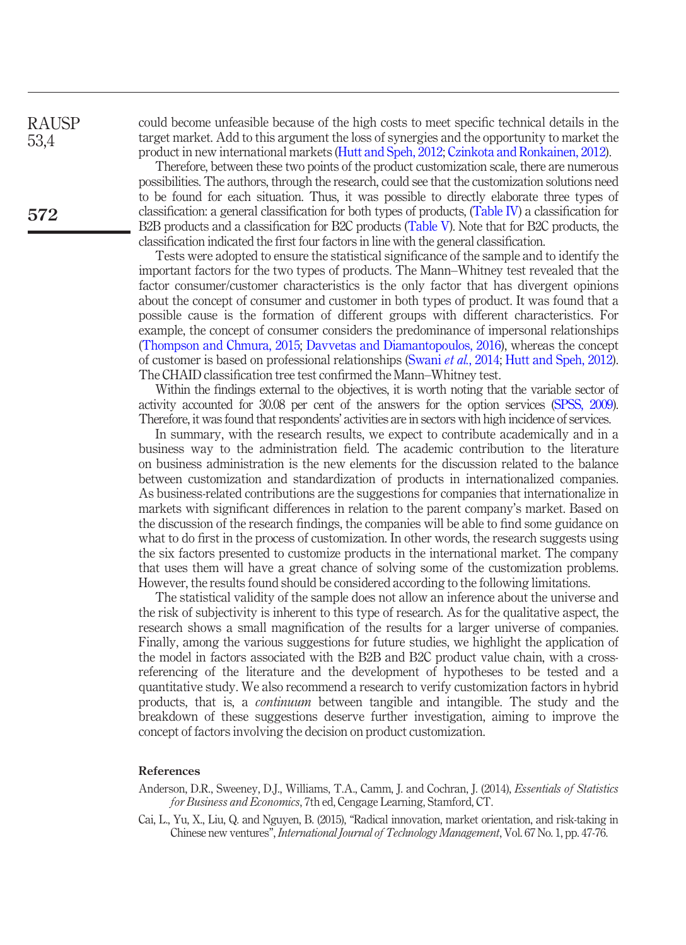could become unfeasible because of the high costs to meet specific technical details in the target market. Add to this argument the loss of synergies and the opportunity to market the product in new international markets [\(Hutt and Speh, 2012](#page-18-3); [Czinkota and Ronkainen, 2012\)](#page-18-4).

Therefore, between these two points of the product customization scale, there are numerous possibilities. The authors, through the research, could see that the customization solutions need to be found for each situation. Thus, it was possible to directly elaborate three types of classification: a general classification for both types of products, [\(Table IV\)](#page-10-0) a classification for B2B products and a classification for B2C products [\(Table V](#page-12-0)). Note that for B2C products, the classification indicated the first four factors in line with the general classification.

Tests were adopted to ensure the statistical significance of the sample and to identify the important factors for the two types of products. The Mann–Whitney test revealed that the factor consumer/customer characteristics is the only factor that has divergent opinions about the concept of consumer and customer in both types of product. It was found that a possible cause is the formation of different groups with different characteristics. For example, the concept of consumer considers the predominance of impersonal relationships [\(Thompson and Chmura, 2015;](#page-19-7) [Davvetas and Diamantopoulos, 2016](#page-18-10)), whereas the concept of customer is based on professional relationships ([Swani](#page-19-2) et al., 2014; [Hutt and Speh, 2012\)](#page-18-3). The CHAID classification tree test confirmed the Mann–Whitney test.

Within the findings external to the objectives, it is worth noting that the variable sector of activity accounted for 30.08 per cent of the answers for the option services [\(SPSS, 2009\)](#page-19-11). Therefore, it was found that respondents' activities are in sectors with high incidence of services.

In summary, with the research results, we expect to contribute academically and in a business way to the administration field. The academic contribution to the literature on business administration is the new elements for the discussion related to the balance between customization and standardization of products in internationalized companies. As business-related contributions are the suggestions for companies that internationalize in markets with significant differences in relation to the parent company's market. Based on the discussion of the research findings, the companies will be able to find some guidance on what to do first in the process of customization. In other words, the research suggests using the six factors presented to customize products in the international market. The company that uses them will have a great chance of solving some of the customization problems. However, the results found should be considered according to the following limitations.

The statistical validity of the sample does not allow an inference about the universe and the risk of subjectivity is inherent to this type of research. As for the qualitative aspect, the research shows a small magnification of the results for a larger universe of companies. Finally, among the various suggestions for future studies, we highlight the application of the model in factors associated with the B2B and B2C product value chain, with a crossreferencing of the literature and the development of hypotheses to be tested and a quantitative study. We also recommend a research to verify customization factors in hybrid products, that is, a continuum between tangible and intangible. The study and the breakdown of these suggestions deserve further investigation, aiming to improve the concept of factors involving the decision on product customization.

# References

- <span id="page-17-1"></span>Anderson, D.R., Sweeney, D.J., Williams, T.A., Camm, J. and Cochran, J. (2014), Essentials of Statistics for Business and Economics, 7th ed, Cengage Learning, Stamford, CT.
- <span id="page-17-0"></span>Cai, L., Yu, X., Liu, Q. and Nguyen, B. (2015), "Radical innovation, market orientation, and risk-taking in Chinese new ventures", International Journal of Technology Management, Vol. 67 No. 1, pp. 47-76.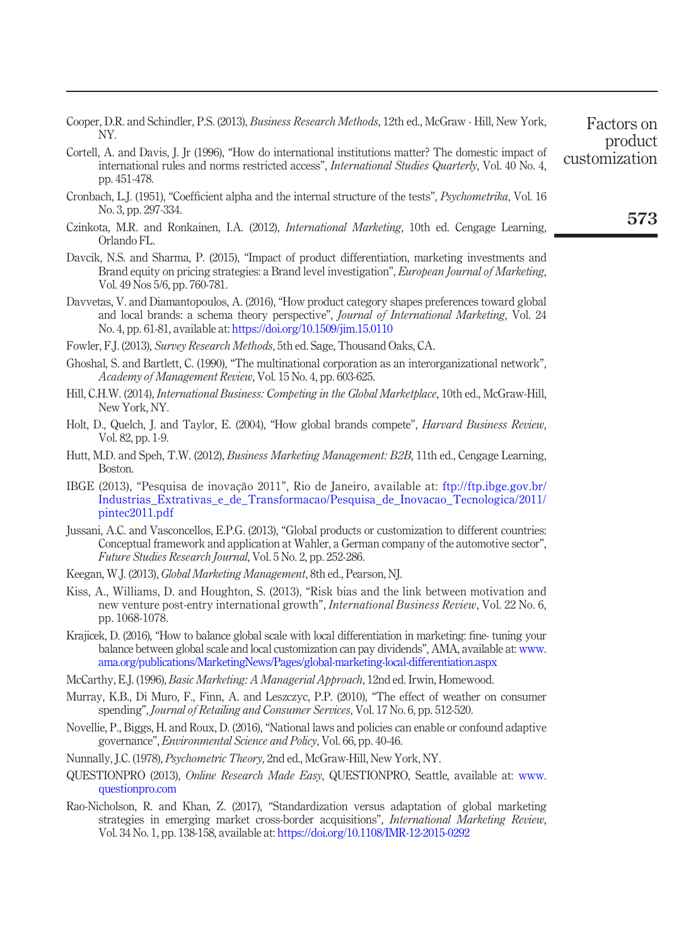<span id="page-18-15"></span>

|     | Cooper, D.R. and Schindler, P.S. (2013), <i>Business Research Methods</i> , 12th ed., McGraw - Hill, New York, |
|-----|----------------------------------------------------------------------------------------------------------------|
| NY. |                                                                                                                |

- <span id="page-18-7"></span>Cortell, A. and Davis, J. Jr (1996), "How do international institutions matter? The domestic impact of international rules and norms restricted access", International Studies Quarterly, Vol. 40 No. 4, pp. 451-478.
- <span id="page-18-18"></span>Cronbach, L.J. (1951), "Coefficient alpha and the internal structure of the tests", Psychometrika, Vol. 16 No. 3, pp. 297-334.
- <span id="page-18-4"></span>Czinkota, M.R. and Ronkainen, I.A. (2012), International Marketing, 10th ed. Cengage Learning, Orlando FL.
- <span id="page-18-9"></span>Davcik, N.S. and Sharma, P. (2015), "Impact of product differentiation, marketing investments and Brand equity on pricing strategies: a Brand level investigation", European Journal of Marketing, Vol. 49 Nos 5/6, pp. 760-781.
- <span id="page-18-10"></span>Davvetas, V. and Diamantopoulos, A. (2016), "How product category shapes preferences toward global and local brands: a schema theory perspective", Journal of International Marketing, Vol. 24 No. 4, pp. 61-81, available at: <https://doi.org/10.1509/jim.15.0110>
- <span id="page-18-14"></span>Fowler, F.J. (2013), Survey Research Methods, 5th ed. Sage, Thousand Oaks, CA.
- <span id="page-18-20"></span>Ghoshal, S. and Bartlett, C. (1990), "The multinational corporation as an interorganizational network", Academy of Management Review, Vol. 15 No. 4, pp. 603-625.
- <span id="page-18-21"></span>Hill, C.H.W. (2014), *International Business: Competing in the Global Marketplace*, 10th ed., McGraw-Hill, New York, NY.
- <span id="page-18-13"></span>Holt, D., Quelch, J. and Taylor, E. (2004), "How global brands compete", Harvard Business Review, Vol. 82, pp. 1-9.
- <span id="page-18-3"></span>Hutt, M.D. and Speh, T.W. (2012), Business Marketing Management: B2B, 11th ed., Cengage Learning, Boston.
- <span id="page-18-17"></span>IBGE (2013), "Pesquisa de inovação 2011", Rio de Janeiro, available at: [ftp://ftp.ibge.gov.br/](http://ftp://ftp.ibge.gov.br/Industrias_Extrativas_e_de_Transformacao/Pesquisa_de_Inovacao_Tecnologica/2011/pintec2011.pdf) [Industrias\\_Extrativas\\_e\\_de\\_Transformacao/Pesquisa\\_de\\_Inovacao\\_Tecnologica/2011/](http://ftp://ftp.ibge.gov.br/Industrias_Extrativas_e_de_Transformacao/Pesquisa_de_Inovacao_Tecnologica/2011/pintec2011.pdf) [pintec2011.pdf](http://ftp://ftp.ibge.gov.br/Industrias_Extrativas_e_de_Transformacao/Pesquisa_de_Inovacao_Tecnologica/2011/pintec2011.pdf)
- <span id="page-18-5"></span>Jussani, A.C. and Vasconcellos, E.P.G. (2013), "Global products or customization to different countries: Conceptual framework and application at Wahler, a German company of the automotive sector", Future Studies Research Journal, Vol. 5 No. 2, pp. 252-286.
- <span id="page-18-2"></span>Keegan, W.J. (2013), Global Marketing Management, 8th ed., Pearson, NJ.
- <span id="page-18-0"></span>Kiss, A., Williams, D. and Houghton, S. (2013), "Risk bias and the link between motivation and new venture post-entry international growth", International Business Review, Vol. 22 No. 6, pp. 1068-1078.
- <span id="page-18-11"></span>Krajicek, D. (2016), "How to balance global scale with local differentiation in marketing: fine- tuning your balance between global scale and local customization can pay dividends", AMA, available at: [www.](http://www.ama.org/publications/MarketingNews/Pages/global-marketing-local-differentiation.aspx) [ama.org/publications/MarketingNews/Pages/global-marketing-local-differentiation.aspx](http://www.ama.org/publications/MarketingNews/Pages/global-marketing-local-differentiation.aspx)
- <span id="page-18-1"></span>McCarthy, E.J. (1996), *Basic Marketing: A Managerial Approach*, 12nd ed. Irwin, Homewood.
- <span id="page-18-12"></span>Murray, K.B., Di Muro, F., Finn, A. and Leszczyc, P.P. (2010), "The effect of weather on consumer spending", Journal of Retailing and Consumer Services, Vol. 17 No. 6, pp. 512-520.
- <span id="page-18-6"></span>Novellie, P., Biggs, H. and Roux, D. (2016), "National laws and policies can enable or confound adaptive governance", Environmental Science and Policy, Vol. 66, pp. 40-46.
- <span id="page-18-19"></span>Nunnally, J.C. (1978), Psychometric Theory, 2nd ed., McGraw-Hill, New York, NY.
- <span id="page-18-16"></span>QUESTIONPRO (2013), Online Research Made Easy, QUESTIONPRO, Seattle, available at: [www.](http://www.questionpro.com) [questionpro.com](http://www.questionpro.com)
- <span id="page-18-8"></span>Rao-Nicholson, R. and Khan, Z. (2017), "Standardization versus adaptation of global marketing strategies in emerging market cross-border acquisitions", International Marketing Review, Vol. 34 No. 1, pp. 138-158, available at: <https://doi.org/10.1108/IMR-12-2015-0292>

Factors on product customization